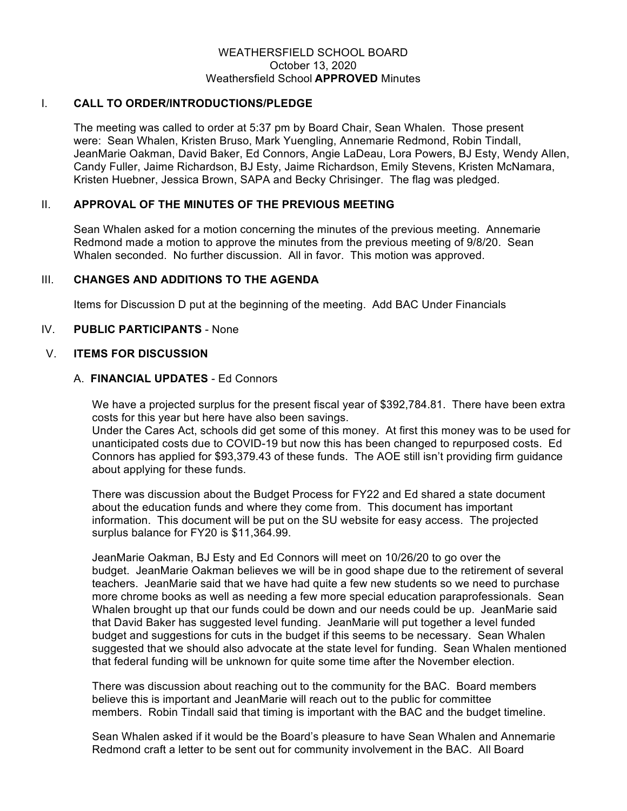## WEATHERSFIELD SCHOOL BOARD October 13, 2020 Weathersfield School **APPROVED** Minutes

### I. **CALL TO ORDER/INTRODUCTIONS/PLEDGE**

The meeting was called to order at 5:37 pm by Board Chair, Sean Whalen. Those present were: Sean Whalen, Kristen Bruso, Mark Yuengling, Annemarie Redmond, Robin Tindall, JeanMarie Oakman, David Baker, Ed Connors, Angie LaDeau, Lora Powers, BJ Esty, Wendy Allen, Candy Fuller, Jaime Richardson, BJ Esty, Jaime Richardson, Emily Stevens, Kristen McNamara, Kristen Huebner, Jessica Brown, SAPA and Becky Chrisinger. The flag was pledged.

# II. **APPROVAL OF THE MINUTES OF THE PREVIOUS MEETING**

Sean Whalen asked for a motion concerning the minutes of the previous meeting. Annemarie Redmond made a motion to approve the minutes from the previous meeting of 9/8/20. Sean Whalen seconded. No further discussion. All in favor. This motion was approved.

## III. **CHANGES AND ADDITIONS TO THE AGENDA**

Items for Discussion D put at the beginning of the meeting. Add BAC Under Financials

## IV. **PUBLIC PARTICIPANTS** - None

#### V. **ITEMS FOR DISCUSSION**

## A. **FINANCIAL UPDATES** - Ed Connors

We have a projected surplus for the present fiscal year of \$392,784.81. There have been extra costs for this year but here have also been savings.

Under the Cares Act, schools did get some of this money. At first this money was to be used for unanticipated costs due to COVID-19 but now this has been changed to repurposed costs. Ed Connors has applied for \$93,379.43 of these funds. The AOE still isn't providing firm guidance about applying for these funds.

There was discussion about the Budget Process for FY22 and Ed shared a state document about the education funds and where they come from. This document has important information. This document will be put on the SU website for easy access. The projected surplus balance for FY20 is \$11,364.99.

JeanMarie Oakman, BJ Esty and Ed Connors will meet on 10/26/20 to go over the budget. JeanMarie Oakman believes we will be in good shape due to the retirement of several teachers. JeanMarie said that we have had quite a few new students so we need to purchase more chrome books as well as needing a few more special education paraprofessionals. Sean Whalen brought up that our funds could be down and our needs could be up. JeanMarie said that David Baker has suggested level funding. JeanMarie will put together a level funded budget and suggestions for cuts in the budget if this seems to be necessary. Sean Whalen suggested that we should also advocate at the state level for funding. Sean Whalen mentioned that federal funding will be unknown for quite some time after the November election.

There was discussion about reaching out to the community for the BAC. Board members believe this is important and JeanMarie will reach out to the public for committee members. Robin Tindall said that timing is important with the BAC and the budget timeline.

Sean Whalen asked if it would be the Board's pleasure to have Sean Whalen and Annemarie Redmond craft a letter to be sent out for community involvement in the BAC. All Board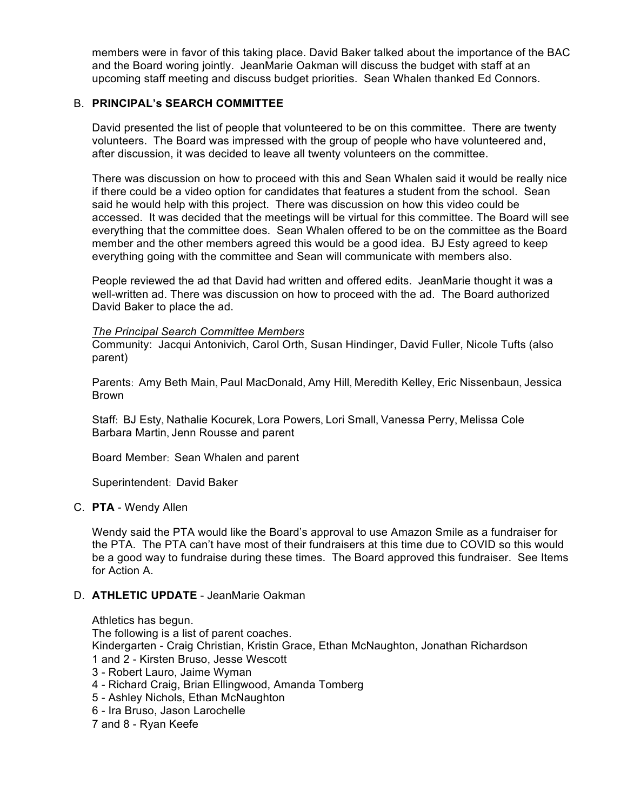members were in favor of this taking place. David Baker talked about the importance of the BAC and the Board woring jointly. JeanMarie Oakman will discuss the budget with staff at an upcoming staff meeting and discuss budget priorities. Sean Whalen thanked Ed Connors.

# B. **PRINCIPAL's SEARCH COMMITTEE**

David presented the list of people that volunteered to be on this committee. There are twenty volunteers. The Board was impressed with the group of people who have volunteered and, after discussion, it was decided to leave all twenty volunteers on the committee.

There was discussion on how to proceed with this and Sean Whalen said it would be really nice if there could be a video option for candidates that features a student from the school. Sean said he would help with this project. There was discussion on how this video could be accessed. It was decided that the meetings will be virtual for this committee. The Board will see everything that the committee does. Sean Whalen offered to be on the committee as the Board member and the other members agreed this would be a good idea. BJ Esty agreed to keep everything going with the committee and Sean will communicate with members also.

People reviewed the ad that David had written and offered edits. JeanMarie thought it was a well-written ad. There was discussion on how to proceed with the ad. The Board authorized David Baker to place the ad.

#### *The Principal Search Committee Members*

Community: Jacqui Antonivich, Carol Orth, Susan Hindinger, David Fuller, Nicole Tufts (also parent)

Parents: Amy Beth Main, Paul MacDonald, Amy Hill, Meredith Kelley, Eric Nissenbaun, Jessica Brown

Staff: BJ Esty, Nathalie Kocurek, Lora Powers, Lori Small, Vanessa Perry, Melissa Cole Barbara Martin, Jenn Rousse and parent

Board Member: Sean Whalen and parent

Superintendent: David Baker

C. **PTA** - Wendy Allen

Wendy said the PTA would like the Board's approval to use Amazon Smile as a fundraiser for the PTA. The PTA can't have most of their fundraisers at this time due to COVID so this would be a good way to fundraise during these times. The Board approved this fundraiser. See Items for Action A.

#### D. **ATHLETIC UPDATE** - JeanMarie Oakman

Athletics has begun. The following is a list of parent coaches. Kindergarten - Craig Christian, Kristin Grace, Ethan McNaughton, Jonathan Richardson 1 and 2 - Kirsten Bruso, Jesse Wescott 3 - Robert Lauro, Jaime Wyman 4 - Richard Craig, Brian Ellingwood, Amanda Tomberg 5 - Ashley Nichols, Ethan McNaughton 6 - Ira Bruso, Jason Larochelle

7 and 8 - Ryan Keefe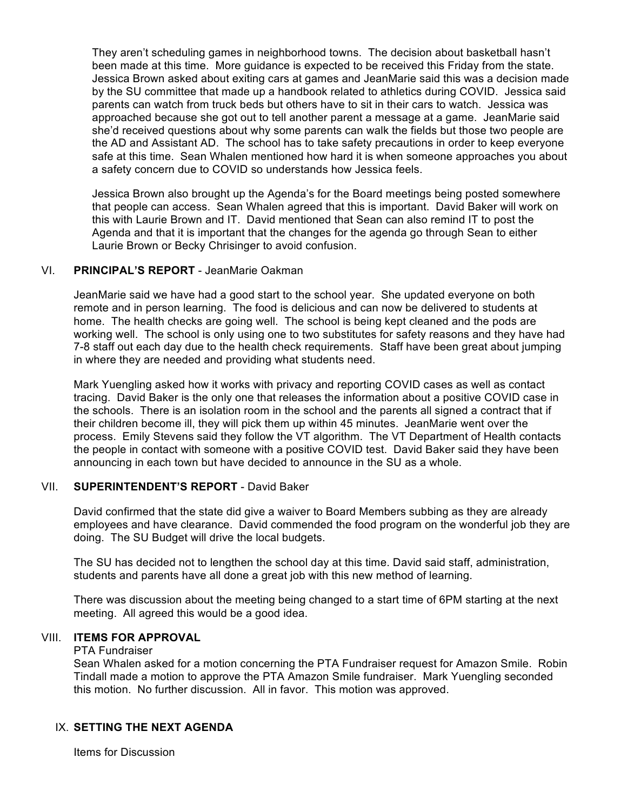They aren't scheduling games in neighborhood towns. The decision about basketball hasn't been made at this time. More guidance is expected to be received this Friday from the state. Jessica Brown asked about exiting cars at games and JeanMarie said this was a decision made by the SU committee that made up a handbook related to athletics during COVID. Jessica said parents can watch from truck beds but others have to sit in their cars to watch. Jessica was approached because she got out to tell another parent a message at a game. JeanMarie said she'd received questions about why some parents can walk the fields but those two people are the AD and Assistant AD. The school has to take safety precautions in order to keep everyone safe at this time. Sean Whalen mentioned how hard it is when someone approaches you about a safety concern due to COVID so understands how Jessica feels.

Jessica Brown also brought up the Agenda's for the Board meetings being posted somewhere that people can access. Sean Whalen agreed that this is important. David Baker will work on this with Laurie Brown and IT. David mentioned that Sean can also remind IT to post the Agenda and that it is important that the changes for the agenda go through Sean to either Laurie Brown or Becky Chrisinger to avoid confusion.

# VI. **PRINCIPAL'S REPORT** - JeanMarie Oakman

JeanMarie said we have had a good start to the school year. She updated everyone on both remote and in person learning. The food is delicious and can now be delivered to students at home. The health checks are going well. The school is being kept cleaned and the pods are working well. The school is only using one to two substitutes for safety reasons and they have had 7-8 staff out each day due to the health check requirements. Staff have been great about jumping in where they are needed and providing what students need.

Mark Yuengling asked how it works with privacy and reporting COVID cases as well as contact tracing. David Baker is the only one that releases the information about a positive COVID case in the schools. There is an isolation room in the school and the parents all signed a contract that if their children become ill, they will pick them up within 45 minutes. JeanMarie went over the process. Emily Stevens said they follow the VT algorithm. The VT Department of Health contacts the people in contact with someone with a positive COVID test. David Baker said they have been announcing in each town but have decided to announce in the SU as a whole.

# VII. **SUPERINTENDENT'S REPORT** - David Baker

David confirmed that the state did give a waiver to Board Members subbing as they are already employees and have clearance. David commended the food program on the wonderful job they are doing. The SU Budget will drive the local budgets.

The SU has decided not to lengthen the school day at this time. David said staff, administration, students and parents have all done a great job with this new method of learning.

There was discussion about the meeting being changed to a start time of 6PM starting at the next meeting. All agreed this would be a good idea.

# VIII. **ITEMS FOR APPROVAL**

PTA Fundraiser

Sean Whalen asked for a motion concerning the PTA Fundraiser request for Amazon Smile. Robin Tindall made a motion to approve the PTA Amazon Smile fundraiser. Mark Yuengling seconded this motion. No further discussion. All in favor. This motion was approved.

## IX. **SETTING THE NEXT AGENDA**

Items for Discussion